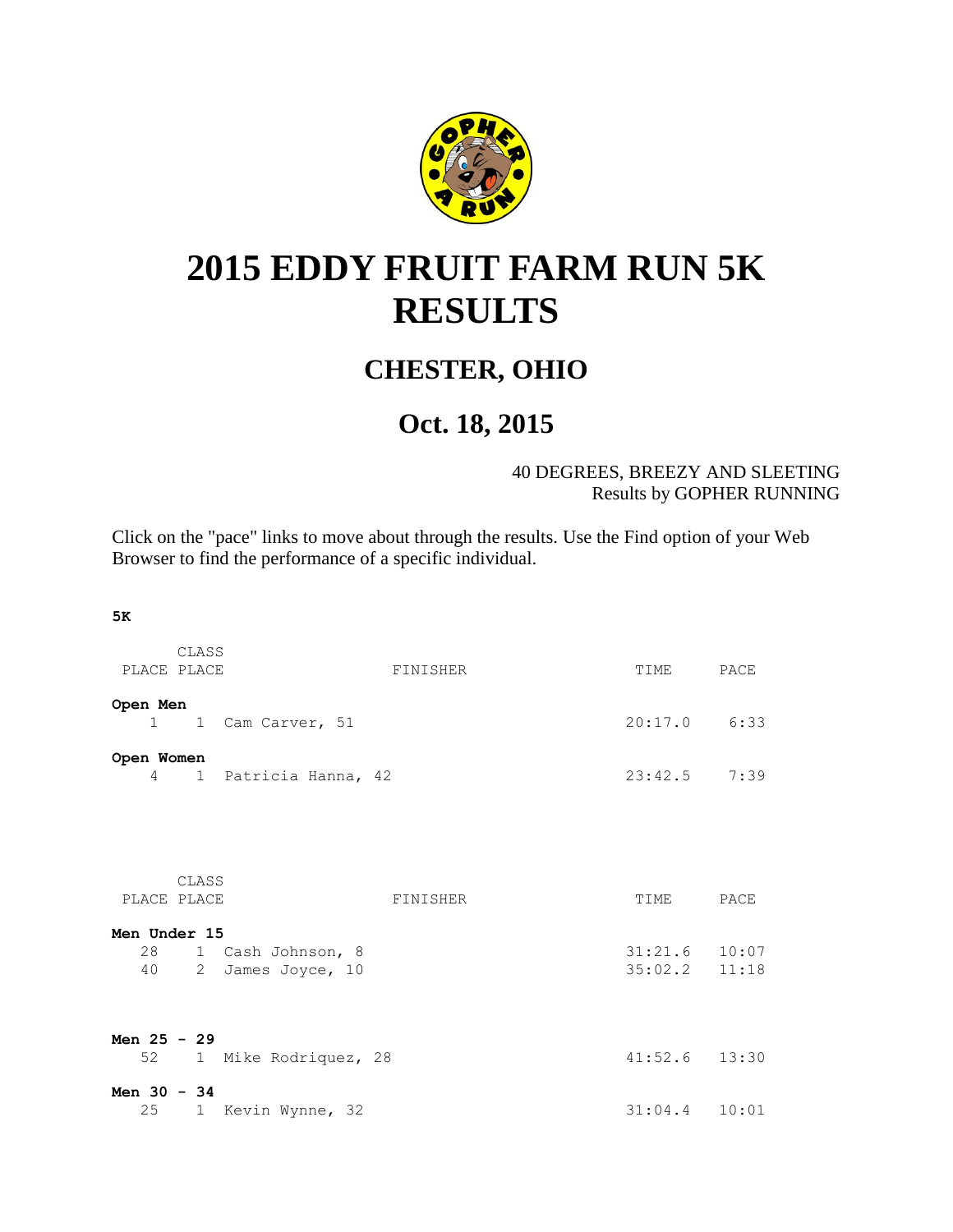

## <span id="page-0-0"></span>**2015 EDDY FRUIT FARM RUN 5K RESULTS**

## **CHESTER, OHIO**

## **Oct. 18, 2015**

40 DEGREES, BREEZY AND SLEETING Results by GOPHER RUNNING

Click on the "pace" links to move about through the results. Use the Find option of your Web Browser to find the performance of a specific individual.

**5K**

| PLACE PLACE                        | CLASS                                  | FINISHER | TIME                               | PACE |
|------------------------------------|----------------------------------------|----------|------------------------------------|------|
| Open Men<br>$1 \quad \blacksquare$ | 1 Cam Carver, 51                       |          | $20:17.0$ 6:33                     |      |
| Open Women<br>$4 \quad$            | 1 Patricia Hanna, 42                   |          | $23:42.5$ 7:39                     |      |
| PLACE PLACE                        | CLASS                                  | FINISHER | TIME PACE                          |      |
| Men Under 15<br>28<br>40           | 1 Cash Johnson, 8<br>2 James Joyce, 10 |          | $31:21.6$ 10:07<br>$35:02.2$ 11:18 |      |
| Men $25 - 29$<br>52                | 1 Mike Rodriquez, 28                   |          | $41:52.6$ $13:30$                  |      |
| Men $30 - 34$<br>25                | 1 Kevin Wynne, 32                      |          | $31:04.4$ 10:01                    |      |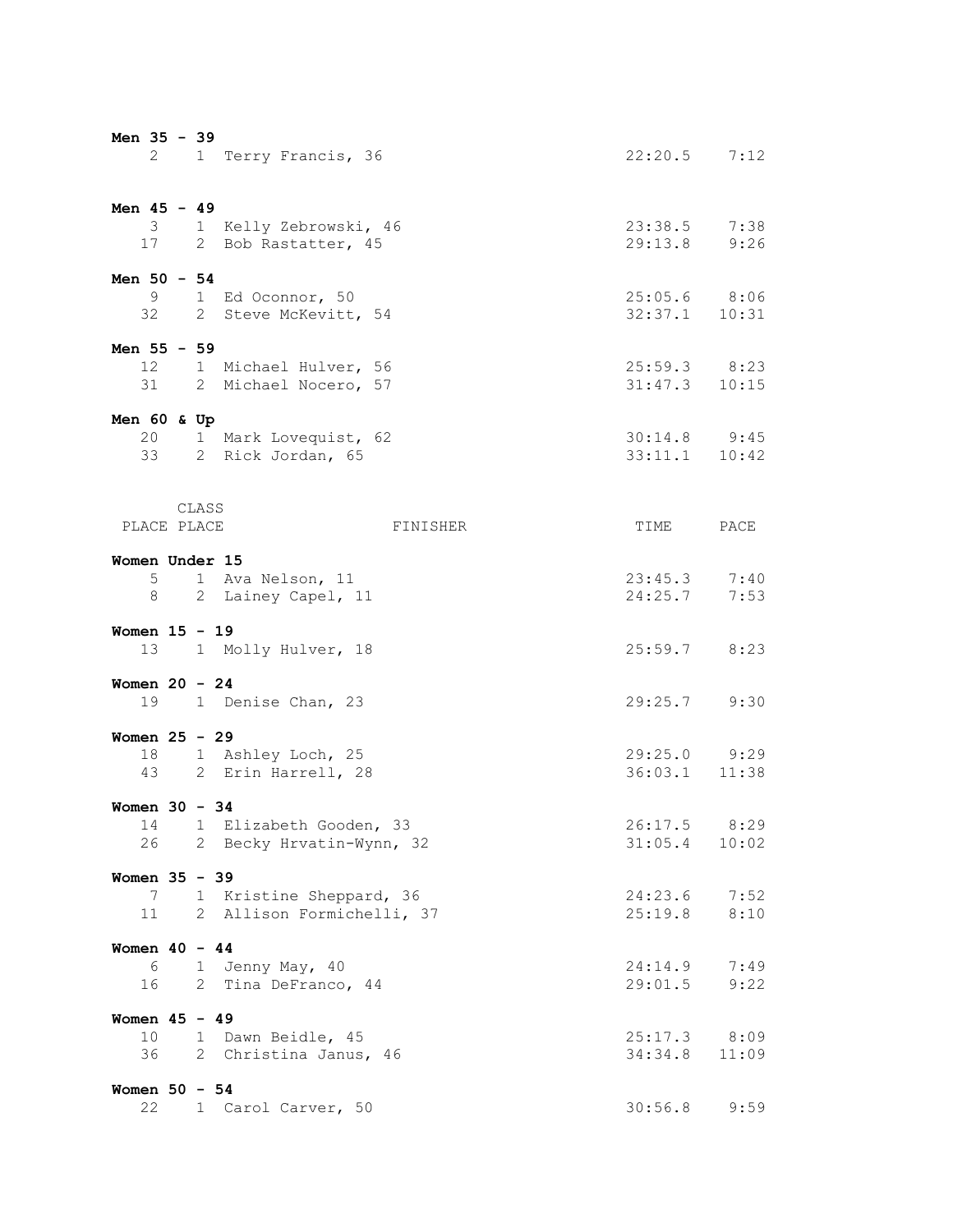| Men 35 - 39                 |        |       | 2 1 Terry Francis, 36                                 | $22:20.5$ 7:12                        |              |
|-----------------------------|--------|-------|-------------------------------------------------------|---------------------------------------|--------------|
| Men $45 - 49$               |        |       | 3 1 Kelly Zebrowski, 46<br>17 2 Bob Rastatter, 45     | 23:38.5 7:38<br>29:13.8 9:26          |              |
| Men $50 - 54$               |        |       | 9 1 Ed Oconnor, 50<br>32 2 Steve McKevitt, 54         | $25:05.6$ 8:06<br>$32:37.1$ 10:31     |              |
| Men $55 - 59$               |        |       | 12 1 Michael Hulver, 56<br>31 2 Michael Nocero, 57    | $25:59.3$ 8:23<br>$31:47.3$ $10:15$   |              |
| Men $60$ & Up               |        |       | 20 1 Mark Lovequist, 62<br>33 2 Rick Jordan, 65       | $30:14.8$ $9:45$<br>$33:11.1$ $10:42$ |              |
| PLACE PLACE                 |        | CLASS | FINISHER                                              | TIME                                  | PACE         |
| Women Under 15              | 8 - 10 |       | 5 1 Ava Nelson, 11<br>2 Lainey Capel, 11              | $23:45.3$ 7:40<br>24:25.7             | 7:53         |
| Women $15 - 19$             |        |       | 13 1 Molly Hulver, 18                                 | $25:59.7$ 8:23                        |              |
| Women $20 - 24$             |        |       | 19 1 Denise Chan, 23                                  | 29:25.7 9:30                          |              |
| Women $25 - 29$             |        |       | 18 1 Ashley Loch, 25<br>43 2 Erin Harrell, 28         | 29:25.0 9:29<br>36:03.1 11:38         |              |
| Women $30 - 34$<br>26       |        |       | 14 1 Elizabeth Gooden, 33<br>2 Becky Hrvatin-Wynn, 32 | $26:17.5$ 8:29<br>31:05.4             | 10:02        |
| Women 35 - 39<br>7<br>11    |        |       | 1 Kristine Sheppard, 36<br>2 Allison Formichelli, 37  | $24:23.6$ 7:52<br>25:19.8             | 8:10         |
| Women $40 - 44$<br>6<br>16  |        |       | 1 Jenny May, 40<br>2 Tina DeFranco, 44                | 24:14.9<br>29:01.5                    | 7:49<br>9:22 |
| Women $45 - 49$<br>10<br>36 |        |       | 1 Dawn Beidle, 45<br>2 Christina Janus, 46            | $25:17.3$ 8:09<br>34:34.8 11:09       |              |
| Women $50 - 54$<br>22       |        |       | 1 Carol Carver, 50                                    | 30:56.8                               | 9:59         |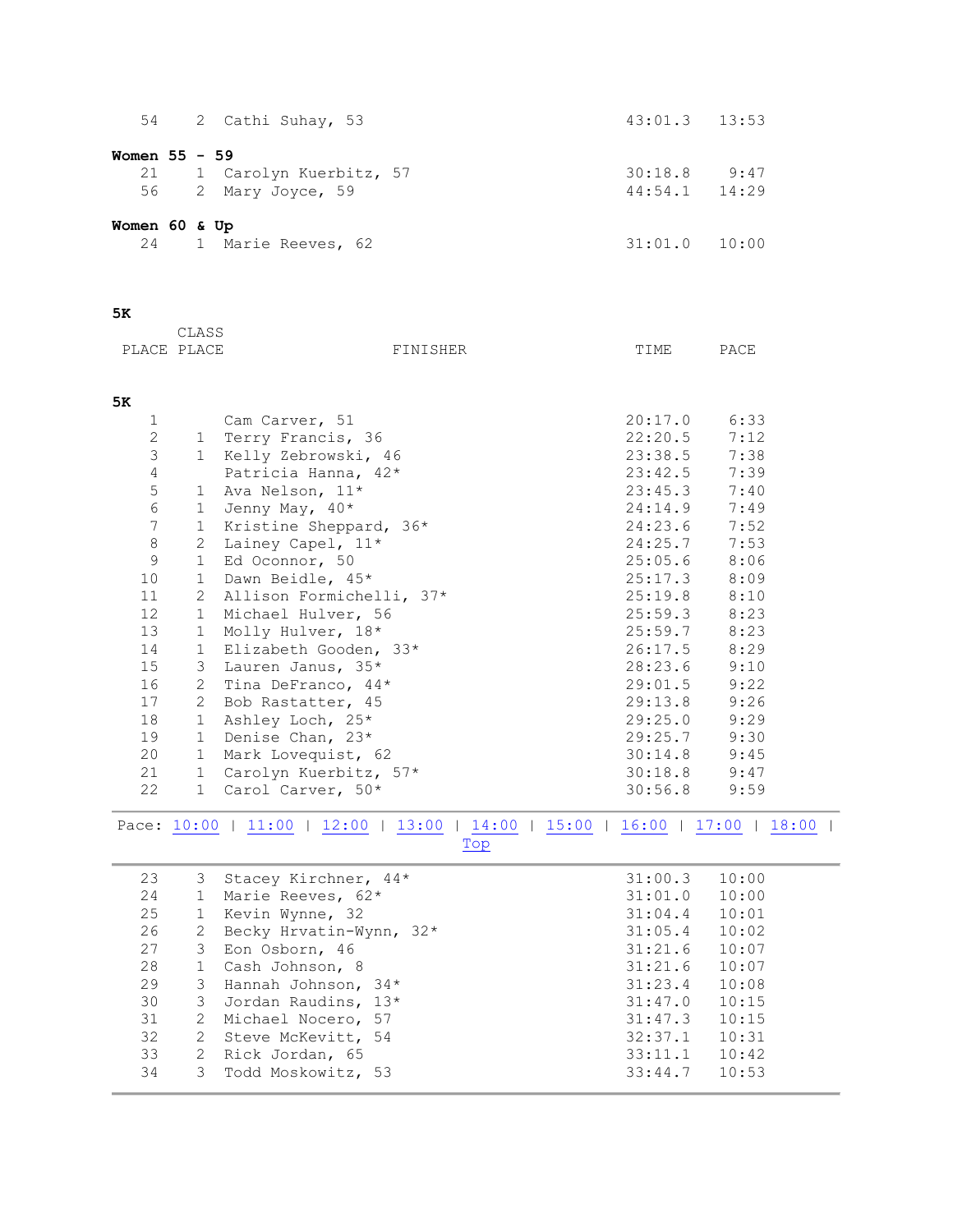<span id="page-2-1"></span><span id="page-2-0"></span>

| 54                |                | 2 Cathi Suhay, 53                                                           | 43:01.3            | 13:53            |  |
|-------------------|----------------|-----------------------------------------------------------------------------|--------------------|------------------|--|
| Women 55 - 59     |                |                                                                             |                    |                  |  |
| 21                |                | 1 Carolyn Kuerbitz, 57                                                      |                    | $30:18.8$ 9:47   |  |
| 56                |                | 2 Mary Joyce, 59                                                            | 44:54.1            | 14:29            |  |
|                   |                |                                                                             |                    |                  |  |
| Women 60 & Up     |                |                                                                             |                    |                  |  |
| 24                |                | 1 Marie Reeves, 62                                                          | 31:01.0            | 10:00            |  |
|                   |                |                                                                             |                    |                  |  |
|                   |                |                                                                             |                    |                  |  |
| 5ĸ                |                |                                                                             |                    |                  |  |
|                   | CLASS          |                                                                             |                    |                  |  |
| PLACE PLACE       |                | FINISHER                                                                    | TIME               | PACE             |  |
|                   |                |                                                                             |                    |                  |  |
|                   |                |                                                                             |                    |                  |  |
| 5к                |                |                                                                             |                    |                  |  |
| 1<br>$\mathbf{2}$ |                | Cam Carver, 51<br>1 Terry Francis, 36                                       | 20:17.0<br>22:20.5 | 6:33<br>7:12     |  |
| $\mathfrak{Z}$    |                | 1 Kelly Zebrowski, 46                                                       | 23:38.5            | 7:38             |  |
| $\overline{4}$    |                | Patricia Hanna, 42*                                                         | 23:42.5            | 7:39             |  |
| $\mathsf S$       |                | 1 Ava Nelson, 11*                                                           | 23:45.3            | 7:40             |  |
| $\sqrt{6}$        |                | 1 Jenny May, $40*$                                                          | 24:14.9            | 7:49             |  |
| $\boldsymbol{7}$  |                | Kristine Sheppard, 36*                                                      | 24:23.6            | 7:52             |  |
| $\,8\,$           | 1              |                                                                             | 24:25.7            | 7:53             |  |
| 9                 | $\mathbf{2}$   | Lainey Capel, 11*<br>Ed Oconnor, 50                                         | 25:05.6            | 8:06             |  |
|                   | $\mathbf{1}$   |                                                                             | 25:17.3            |                  |  |
| 10                | $\mathbf{1}$   | Dawn Beidle, 45*                                                            |                    | 8:09             |  |
| 11                | 2              | Allison Formichelli, 37*                                                    | 25:19.8            | 8:10             |  |
| 12                | $\mathbf{1}$   | Michael Hulver, 56                                                          | 25:59.3            | 8:23             |  |
| 13                | $\mathbf{1}$   | Molly Hulver, 18*                                                           | 25:59.7            | 8:23             |  |
| 14                | $\mathbf{1}$   | Elizabeth Gooden, 33*                                                       | 26:17.5            | 8:29             |  |
| 15                | 3              | Lauren Janus, 35*                                                           | 28:23.6            | 9:10             |  |
| 16                | $\mathbf{2}$   | Tina DeFranco, 44*                                                          | 29:01.5<br>29:13.8 | 9:22             |  |
| 17                | $\mathbf{2}$   | Bob Rastatter, 45                                                           | 29:25.0            | 9:26             |  |
| 18                | $\mathbf{1}$   | Ashley Loch, 25*                                                            |                    | 9:29             |  |
| 19<br>20          | $\mathbf{1}$   | Denise Chan, 23*                                                            | 29:25.7            | 9:30             |  |
|                   | $\mathbf{1}$   | Mark Lovequist, 62                                                          | 30:14.8            | 9:45             |  |
| 21<br>22          |                | 1 Carolyn Kuerbitz, 57*<br>1 Carol Carver, 50*                              |                    | $30:18.8$ $9:47$ |  |
|                   |                |                                                                             | 30:56.8            | 9:59             |  |
|                   |                | Pace: 10:00   11:00   12:00   13:00   14:00   15:00   16:00   17:00   18:00 |                    |                  |  |
|                   |                | Top                                                                         |                    |                  |  |
|                   |                |                                                                             |                    |                  |  |
| 23                | 3              | Stacey Kirchner, 44*                                                        | 31:00.3            | 10:00            |  |
| 24                | $\mathbf{1}$   | Marie Reeves, 62*                                                           | 31:01.0            | 10:00            |  |
| 25                | $\mathbf{1}$   | Kevin Wynne, 32                                                             | 31:04.4            | 10:01            |  |
| 26                | 2              | Becky Hrvatin-Wynn, 32*                                                     | 31:05.4            | 10:02            |  |
| 27                | 3              | Eon Osborn, 46                                                              | 31:21.6            | 10:07            |  |
| 28                | $1\,$          | Cash Johnson, 8                                                             | 31:21.6            | 10:07            |  |
| 29                | 3              | Hannah Johnson, 34*                                                         | 31:23.4            | 10:08            |  |
| 30                | 3              | Jordan Raudins, 13*                                                         | 31:47.0            | 10:15            |  |
| 31                | 2              | Michael Nocero, 57                                                          | 31:47.3            | 10:15            |  |
| 32                | $\mathbf{2}$   | Steve McKevitt, 54                                                          | 32:37.1            | 10:31            |  |
| 33                | $\overline{2}$ | Rick Jordan, 65                                                             | 33:11.1            | 10:42            |  |
| 34                | 3              | Todd Moskowitz, 53                                                          | 33:44.7            | 10:53            |  |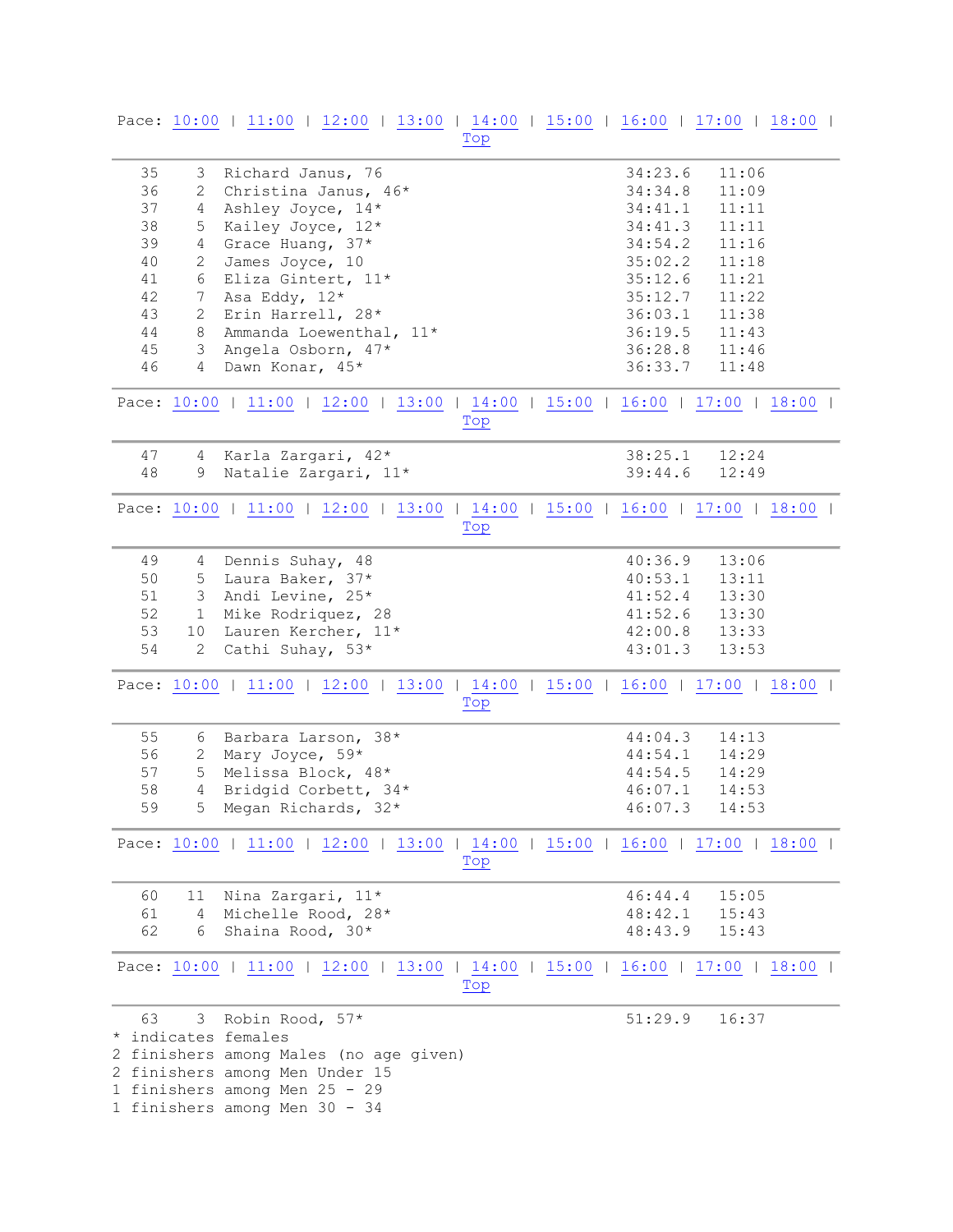<span id="page-3-4"></span><span id="page-3-3"></span><span id="page-3-2"></span><span id="page-3-1"></span><span id="page-3-0"></span>

|    |                 | Pace: 10:00   11:00   12:00   13:00   14:00   15:00   16:00   17:00   18:00 | Top |  |         |       |  |
|----|-----------------|-----------------------------------------------------------------------------|-----|--|---------|-------|--|
|    |                 |                                                                             |     |  |         |       |  |
| 35 |                 | 3 Richard Janus, 76                                                         |     |  | 34:23.6 | 11:06 |  |
| 36 | $\mathbf{2}$    | Christina Janus, 46*                                                        |     |  | 34:34.8 | 11:09 |  |
| 37 | $4 -$           | Ashley Joyce, 14*                                                           |     |  | 34:41.1 | 11:11 |  |
| 38 | 5               | Kailey Joyce, 12*                                                           |     |  | 34:41.3 | 11:11 |  |
| 39 | $4\overline{ }$ | Grace Huang, 37*                                                            |     |  | 34:54.2 | 11:16 |  |
| 40 | 2               | James Joyce, 10                                                             |     |  | 35:02.2 | 11:18 |  |
| 41 | 6               | Eliza Gintert, 11*                                                          |     |  | 35:12.6 | 11:21 |  |
| 42 | 7               | Asa Eddy, 12*                                                               |     |  | 35:12.7 | 11:22 |  |
| 43 | $\overline{2}$  | Erin Harrell, 28*                                                           |     |  | 36:03.1 | 11:38 |  |
| 44 | 8               | Ammanda Loewenthal, 11*                                                     |     |  | 36:19.5 | 11:43 |  |
| 45 | $3 -$           | Angela Osborn, 47*                                                          |     |  | 36:28.8 | 11:46 |  |
| 46 | $\overline{4}$  | Dawn Konar, 45*                                                             |     |  | 36:33.7 | 11:48 |  |
|    |                 | Pace: 10:00   11:00   12:00   13:00   14:00   15:00   16:00   17:00   18:00 | Top |  |         |       |  |
| 47 |                 | 4 Karla Zargari, 42*                                                        |     |  | 38:25.1 | 12:24 |  |
| 48 | 9               | Natalie Zargari, 11*                                                        |     |  | 39:44.6 | 12:49 |  |
|    |                 | Pace: 10:00   11:00   12:00   13:00   14:00   15:00   16:00   17:00   18:00 | Top |  |         |       |  |
|    |                 |                                                                             |     |  |         |       |  |
| 49 | 4               | Dennis Suhay, 48                                                            |     |  | 40:36.9 | 13:06 |  |
| 50 | 5               | Laura Baker, 37*                                                            |     |  | 40:53.1 | 13:11 |  |
| 51 | 3 <sup>7</sup>  | Andi Levine, 25*                                                            |     |  | 41:52.4 | 13:30 |  |
| 52 | 1               | Mike Rodriquez, 28                                                          |     |  | 41:52.6 | 13:30 |  |
| 53 | 10 <sup>°</sup> | Lauren Kercher, 11*                                                         |     |  | 42:00.8 | 13:33 |  |
| 54 | $\overline{2}$  | Cathi Suhay, 53*                                                            |     |  | 43:01.3 | 13:53 |  |
|    |                 | Pace: 10:00   11:00   12:00   13:00   14:00   15:00   16:00   17:00   18:00 | Top |  |         |       |  |
| 55 | 6               | Barbara Larson, 38*                                                         |     |  | 44:04.3 | 14:13 |  |
| 56 | 2               | Mary Joyce, 59*                                                             |     |  | 44:54.1 | 14:29 |  |
| 57 | 5               | Melissa Block, 48*                                                          |     |  | 44:54.5 | 14:29 |  |
| 58 | $\overline{4}$  | Bridgid Corbett, 34*                                                        |     |  | 46:07.1 | 14:53 |  |
| 59 |                 | 5 Megan Richards, 32*                                                       |     |  | 46:07.3 | 14:53 |  |
|    |                 | Pace: 10:00   11:00   12:00   13:00   14:00   15:00   16:00   17:00   18:00 | Top |  |         |       |  |
| 60 | 11              | Nina Zargari, 11*                                                           |     |  | 46:44.4 | 15:05 |  |
| 61 |                 | 4 Michelle Rood, 28*                                                        |     |  | 48:42.1 | 15:43 |  |
| 62 | 6               | Shaina Rood, 30*                                                            |     |  | 48:43.9 | 15:43 |  |
|    |                 | Pace: 10:00   11:00   12:00   13:00   14:00   15:00   16:00   17:00   18:00 | Top |  |         |       |  |
| 63 |                 | 3 Robin Rood, 57*                                                           |     |  | 51:29.9 | 16:37 |  |
|    |                 | * indicates females                                                         |     |  |         |       |  |
|    |                 | 2 finishers among Males (no age given)                                      |     |  |         |       |  |
|    |                 | 2 finishers among Men Under 15                                              |     |  |         |       |  |
|    |                 | 1 finishers among Men 25 - 29                                               |     |  |         |       |  |
|    |                 | 1 finishers among Men 30 - 34                                               |     |  |         |       |  |